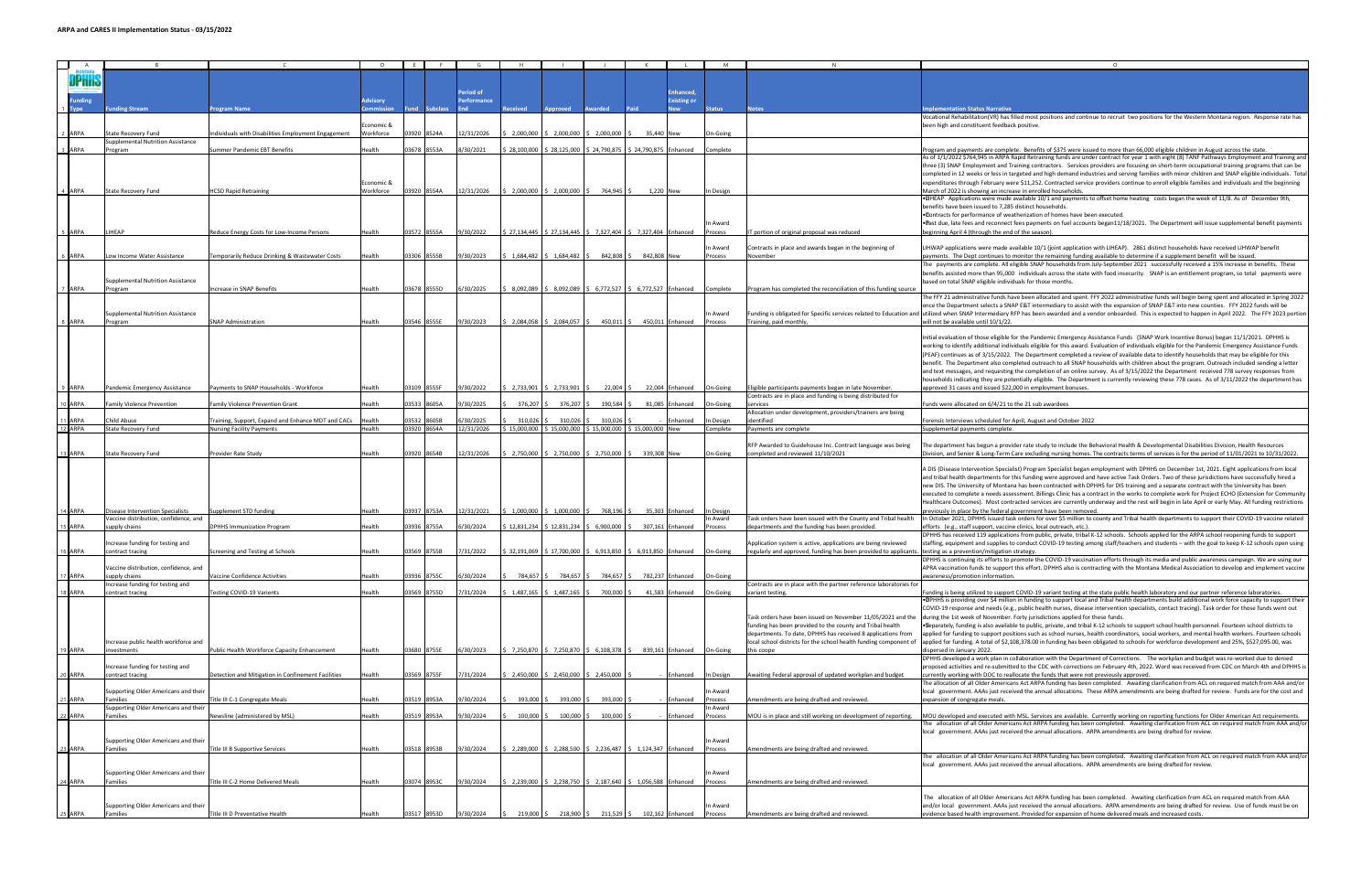| $\blacksquare$<br>A |                                          |                                                    |               |       |             |            |                                                                                                                       |                                                                                             |                          |                                 |                     |           |                                                                                                               |                                                                                                                                                                                                                 |
|---------------------|------------------------------------------|----------------------------------------------------|---------------|-------|-------------|------------|-----------------------------------------------------------------------------------------------------------------------|---------------------------------------------------------------------------------------------|--------------------------|---------------------------------|---------------------|-----------|---------------------------------------------------------------------------------------------------------------|-----------------------------------------------------------------------------------------------------------------------------------------------------------------------------------------------------------------|
|                     |                                          |                                                    |               |       |             |            |                                                                                                                       |                                                                                             |                          |                                 |                     |           |                                                                                                               |                                                                                                                                                                                                                 |
|                     |                                          |                                                    |               |       |             |            |                                                                                                                       |                                                                                             |                          |                                 |                     |           |                                                                                                               |                                                                                                                                                                                                                 |
|                     |                                          |                                                    |               |       |             |            |                                                                                                                       |                                                                                             |                          |                                 |                     |           |                                                                                                               |                                                                                                                                                                                                                 |
|                     |                                          |                                                    |               |       |             | eriod of   |                                                                                                                       |                                                                                             |                          |                                 | <b>inhanced</b>     |           |                                                                                                               |                                                                                                                                                                                                                 |
| unding              |                                          |                                                    | Advisory      |       |             | erformance |                                                                                                                       |                                                                                             |                          |                                 | <b>Existing or</b>  |           |                                                                                                               |                                                                                                                                                                                                                 |
|                     | unding Stream                            | rogram Name                                        |               |       |             |            |                                                                                                                       | pproved                                                                                     |                          |                                 |                     | tatus     | lotes                                                                                                         | nplementation Status Narrative                                                                                                                                                                                  |
|                     |                                          |                                                    |               |       |             |            |                                                                                                                       |                                                                                             |                          |                                 |                     |           |                                                                                                               | Vocational Rehabilitation(VR) has filled most positions and continue to recruit two positions for the Western Montana region. Response rate has                                                                 |
|                     |                                          |                                                    | Economic &    |       |             |            |                                                                                                                       |                                                                                             |                          |                                 |                     |           |                                                                                                               | been high and constituent feedback positive.                                                                                                                                                                    |
| ARPA                | <b>State Recovery Fund</b>               | ndividuals with Disabilities Employment Engagement | Workforce     |       | 03920 8524A | 12/31/2026 |                                                                                                                       | 2,000,000 \$ 2,000,000                                                                      | \$2,000,000              | 35.440 New                      |                     | On-Going  |                                                                                                               |                                                                                                                                                                                                                 |
|                     | Supplemental Nutrition Assistance        |                                                    |               |       |             |            |                                                                                                                       |                                                                                             |                          |                                 |                     |           |                                                                                                               |                                                                                                                                                                                                                 |
|                     |                                          |                                                    |               |       | 03678 8553A |            |                                                                                                                       |                                                                                             |                          |                                 |                     |           |                                                                                                               |                                                                                                                                                                                                                 |
| ARPA                | Program                                  | Summer Pandemic EBT Benefits                       | Health        |       |             | 30/2021    | 28,100,000                                                                                                            |                                                                                             | 28,125,000 \$ 24,790,875 |                                 | 24,790,875 Enhanced | Complete  |                                                                                                               | Program and payments are complete. Benefits of \$375 were issued to more than 66,000 eligible children in August across the state.                                                                              |
|                     |                                          |                                                    |               |       |             |            |                                                                                                                       |                                                                                             |                          |                                 |                     |           |                                                                                                               | As of 1/1/2022 \$764,945 in ARPA Rapid Retraining funds are under contract for year 1 with eight (8) TANF Pathways Employment and Training and                                                                  |
|                     |                                          |                                                    |               |       |             |            |                                                                                                                       |                                                                                             |                          |                                 |                     |           |                                                                                                               | three (3) SNAP Employment and Training contractors. Services providers are focusing on short-term occupational training programs that can be                                                                    |
|                     |                                          |                                                    |               |       |             |            |                                                                                                                       |                                                                                             |                          |                                 |                     |           |                                                                                                               | completed in 12 weeks or less in targeted and high demand industries and serving families with minor children and SNAP eligible individuals. Total                                                              |
|                     |                                          |                                                    | Economic &    |       |             |            |                                                                                                                       |                                                                                             |                          |                                 |                     |           |                                                                                                               | expenditures through February were \$11,252. Contracted service providers continue to enroll eligible families and individuals and the beginning                                                                |
| <b>ARPA</b>         | <b>State Recovery Fund</b>               | <b>HCSD Rapid Retraining</b>                       | Workforce     |       | 3920 8554A  | 12/31/2026 |                                                                                                                       | \$2,000,000 \$2,000,000 \$                                                                  | 764,945                  | 1.220 New                       |                     | In Design |                                                                                                               | March of 2022 is showing an increase in enrolled households.                                                                                                                                                    |
|                     |                                          |                                                    |               |       |             |            |                                                                                                                       |                                                                                             |                          |                                 |                     |           |                                                                                                               | . EHEAP Applications were made available 10/1 and payments to offset home heating costs began the week of 11/8. As of December 9th,                                                                             |
|                     |                                          |                                                    |               |       |             |            |                                                                                                                       |                                                                                             |                          |                                 |                     |           |                                                                                                               | benefits have been issued to 7,285 distinct households.                                                                                                                                                         |
|                     |                                          |                                                    |               |       |             |            |                                                                                                                       |                                                                                             |                          |                                 |                     |           |                                                                                                               |                                                                                                                                                                                                                 |
|                     |                                          |                                                    |               |       |             |            |                                                                                                                       |                                                                                             |                          |                                 |                     |           |                                                                                                               | . Contracts for performance of weatherization of homes have been executed.                                                                                                                                      |
|                     |                                          |                                                    |               |       |             |            |                                                                                                                       |                                                                                             |                          |                                 |                     | In Award  |                                                                                                               | .Bast due, late fees and reconnect fees payments on fuel accounts began11/18/2021. The Department will issue supplemental benefit payments                                                                      |
| ARPA                | <b>LIHEAP</b>                            | Reduce Energy Costs for Low-Income Persons         | Health        |       | 03572 8555A | 9/30/2022  | $\frac{1}{2}$ \$ 27,134,445 $\frac{1}{2}$ \$ 27,134,445 $\frac{1}{2}$ \$ 7,327,404 $\frac{1}{2}$ 5 7,327,404 Enhanced |                                                                                             |                          |                                 |                     | Process   | IT portion of original proposal was reduced                                                                   | beginning April 4 (through the end of the season).                                                                                                                                                              |
|                     |                                          |                                                    |               |       |             |            |                                                                                                                       |                                                                                             |                          |                                 |                     |           |                                                                                                               |                                                                                                                                                                                                                 |
|                     |                                          |                                                    |               |       |             |            |                                                                                                                       |                                                                                             |                          |                                 |                     | In Award  | Contracts in place and awards began in the beginning of                                                       | LIHWAP applications were made available 10/1 (joint application with LIHEAP). 2861 distinct households have received LIHWAP benefit                                                                             |
| ARPA                | Low Income Water Assistance              | Femporarily Reduce Drinking & Wastewater Costs     | Health        |       | 03306 8555B | 9/30/2023  |                                                                                                                       | $$1,684,482$ $$1,684,482$ $$$                                                               | 842,808                  | 842,808 New                     |                     | Process   | November                                                                                                      | payments. The Dept continues to monitor the remaining funding available to determine if a supplement benefit will be issued.                                                                                    |
|                     |                                          |                                                    |               |       |             |            |                                                                                                                       |                                                                                             |                          |                                 |                     |           |                                                                                                               | The payments are complete. All eligible SNAP households from July-September 2021 successfully received a 15% increase in benefits. These                                                                        |
|                     |                                          |                                                    |               |       |             |            |                                                                                                                       |                                                                                             |                          |                                 |                     |           |                                                                                                               | benefits assisted more than 95,000 individuals across the state with food insecurity. SNAP is an entitlement program, so total payments were                                                                    |
|                     |                                          |                                                    |               |       |             |            |                                                                                                                       |                                                                                             |                          |                                 |                     |           |                                                                                                               |                                                                                                                                                                                                                 |
|                     | Supplemental Nutrition Assistance        |                                                    |               |       |             |            |                                                                                                                       |                                                                                             |                          |                                 |                     |           |                                                                                                               | based on total SNAP eligible individuals for those months.                                                                                                                                                      |
| ARPA                | Program                                  | Increase in SNAP Benefits                          | Health        |       | 03678 8555D | 6/30/2025  |                                                                                                                       | 8,092,089 \$8,092,089 \$                                                                    |                          | 6,772,527 \$ 6,772,527 Enhanced |                     | Complete  | Program has completed the reconciliation of this funding source                                               |                                                                                                                                                                                                                 |
|                     |                                          |                                                    |               |       |             |            |                                                                                                                       |                                                                                             |                          |                                 |                     |           |                                                                                                               | The FFY 21 administrative funds have been allocated and spent. FFY 2022 administrative funds will begin being spent and allocated in Spring 2022                                                                |
|                     |                                          |                                                    |               |       |             |            |                                                                                                                       |                                                                                             |                          |                                 |                     |           |                                                                                                               | once the Department selects a SNAP E&T intermediary to assist with the expansion of SNAP E&T into new counties. FFY 2022 funds will be                                                                          |
|                     | <b>Supplemental Nutrition Assistance</b> |                                                    |               |       |             |            |                                                                                                                       |                                                                                             |                          |                                 |                     | In Award  |                                                                                                               | Funding is obligated for Specific services related to Education and utilized when SNAP Intermediary RFP has been awarded and a vendor onboarded. This is expected to happen in April 2022. The FFY 2023 portion |
| R ARPA              | Program                                  | <b>SNAP Administration</b>                         | Health        |       | 03546 8555E | 9/30/2023  |                                                                                                                       | 2,084,058 \$ 2,084,057                                                                      | 450,011 \$               |                                 | 450,011 Enhanced    | Process   | Training, paid monthly                                                                                        | will not be available until 10/1/22.                                                                                                                                                                            |
|                     |                                          |                                                    |               |       |             |            |                                                                                                                       |                                                                                             |                          |                                 |                     |           |                                                                                                               |                                                                                                                                                                                                                 |
|                     |                                          |                                                    |               |       |             |            |                                                                                                                       |                                                                                             |                          |                                 |                     |           |                                                                                                               | Initial evaluation of those eligible for the Pandemic Emergency Assistance Funds (SNAP Work Incentive Bonus) began 11/1/2021. DPHHS is                                                                          |
|                     |                                          |                                                    |               |       |             |            |                                                                                                                       |                                                                                             |                          |                                 |                     |           |                                                                                                               |                                                                                                                                                                                                                 |
|                     |                                          |                                                    |               |       |             |            |                                                                                                                       |                                                                                             |                          |                                 |                     |           |                                                                                                               | working to identify additional individuals eligible for this award. Evaluation of individuals eligible for the Pandemic Emergency Assistance Funds                                                              |
|                     |                                          |                                                    |               |       |             |            |                                                                                                                       |                                                                                             |                          |                                 |                     |           |                                                                                                               | (PEAF) continues as of 3/15/2022. The Department completed a review of available data to identify households that may be eligible for this                                                                      |
|                     |                                          |                                                    |               |       |             |            |                                                                                                                       |                                                                                             |                          |                                 |                     |           |                                                                                                               | benefit. The Department also completed outreach to all SNAP households with children about the program. Outreach included sending a letter                                                                      |
|                     |                                          |                                                    |               |       |             |            |                                                                                                                       |                                                                                             |                          |                                 |                     |           |                                                                                                               | and text messages, and requesting the completion of an online survey. As of 3/15/2022 the Department received 778 survey responses from                                                                         |
|                     |                                          |                                                    |               |       |             |            |                                                                                                                       |                                                                                             |                          |                                 |                     |           |                                                                                                               | households indicating they are potentially eligible. The Department is currently reviewing these 778 cases. As of 3/11/2022 the department has                                                                  |
| ARPA                | Pandemic Emergency Assistance            | Payments to SNAP Households - Workforce            | Health        |       | 03109 8555F | 9/30/2022  |                                                                                                                       | $5$ 2,733,901 $\frac{2}{3}$ 2,733,901                                                       | 22,004                   |                                 | 22,004 Enhanced     | On-Going  | Eligible participants payments began in late November.                                                        | approved 31 cases and issued \$22,000 in employment bonuses.                                                                                                                                                    |
|                     |                                          |                                                    |               |       |             |            |                                                                                                                       |                                                                                             |                          |                                 |                     |           |                                                                                                               |                                                                                                                                                                                                                 |
|                     |                                          |                                                    |               |       |             |            |                                                                                                                       |                                                                                             |                          |                                 |                     |           | Contracts are in place and funding is being distributed for                                                   |                                                                                                                                                                                                                 |
| D ARPA              | amily Violence Prevention                | Family Violence Prevention Grant                   | Health        |       | 03533 8605A | /30/2025   | 376,207                                                                                                               | 376,207                                                                                     | 190,584                  | 81,085                          | Enhanced            | On-Going  | services                                                                                                      | Funds were allocated on 6/4/21 to the 21 sub awardees                                                                                                                                                           |
|                     |                                          |                                                    |               |       |             |            |                                                                                                                       |                                                                                             |                          |                                 |                     |           | Allocation under development, providers/trainers are being                                                    |                                                                                                                                                                                                                 |
| 1 ARPA              | hild Abuse                               | Training, Support, Expand and Enhance MDT and CACs | Health        |       | 03532 8605B | /30/2025   | 310,026                                                                                                               | 310,026                                                                                     | 310,026                  |                                 | nhanced             | In Design | identified                                                                                                    | Forensic Interviews scheduled for April, August and October 2022                                                                                                                                                |
| 12 ARPA             | <b>State Recovery Fund</b>               | <b>Nursing Facility Payments</b>                   | Health        |       | 03920 8654A | 12/31/2026 | \$15,000,000 \$15,000,000 \$15,000,000 \$15,000,000 New                                                               |                                                                                             |                          |                                 |                     | Complete  | Payments are complete                                                                                         | Supplemental payments complete.                                                                                                                                                                                 |
|                     |                                          |                                                    |               |       |             |            |                                                                                                                       |                                                                                             |                          |                                 |                     |           |                                                                                                               |                                                                                                                                                                                                                 |
|                     |                                          |                                                    |               |       |             |            |                                                                                                                       |                                                                                             |                          |                                 |                     |           | RFP Awarded to Guidehouse Inc. Contract language was being                                                    | The department has begun a provider rate study to include the Behavioral Health & Developmental Disabilities Division, Health Resources                                                                         |
| 3 ARPA              | <b>State Recovery Fund</b>               | Provider Rate Study                                | Health        |       | 03920 8654B | 12/31/2026 |                                                                                                                       | $\frac{1}{2}$ , 2,750,000 $\frac{1}{2}$ , 2,750,000 $\frac{1}{2}$ , 2,750,000 $\frac{1}{2}$ |                          | 339.308 New                     |                     | On-Going  | completed and reviewed 11/10/2021                                                                             | Division, and Senior & Long-Term Care excluding nursing homes. The contracts terms of services is for the period of 11/01/2021 to 10/31/2022.                                                                   |
|                     |                                          |                                                    |               |       |             |            |                                                                                                                       |                                                                                             |                          |                                 |                     |           |                                                                                                               |                                                                                                                                                                                                                 |
|                     |                                          |                                                    |               |       |             |            |                                                                                                                       |                                                                                             |                          |                                 |                     |           |                                                                                                               | A DIS (Disease Intervention Specialist) Program Specialist began employment with DPHHS on December 1st, 2021. Eight applications from local                                                                     |
|                     |                                          |                                                    |               |       |             |            |                                                                                                                       |                                                                                             |                          |                                 |                     |           |                                                                                                               |                                                                                                                                                                                                                 |
|                     |                                          |                                                    |               |       |             |            |                                                                                                                       |                                                                                             |                          |                                 |                     |           |                                                                                                               | and tribal health departments for this funding were approved and have active Task Orders. Two of these jurisdictions have successfully hired a                                                                  |
|                     |                                          |                                                    |               |       |             |            |                                                                                                                       |                                                                                             |                          |                                 |                     |           |                                                                                                               | new DIS. The University of Montana has been contracted with DPHHS for DIS training and a separate contract with the University has been                                                                         |
|                     |                                          |                                                    |               |       |             |            |                                                                                                                       |                                                                                             |                          |                                 |                     |           |                                                                                                               | executed to complete a needs assessment. Billings Clinic has a contract in the works to complete work for Project ECHO (Extension for Community                                                                 |
|                     |                                          |                                                    |               |       |             |            |                                                                                                                       |                                                                                             |                          |                                 |                     |           |                                                                                                               | Healthcare Outcomes). Most contracted services are currently underway and the rest will begin in late April or early May. All funding restrictions                                                              |
| 14 ARPA             | <b>Disease Intervention Specialists</b>  | Supplement STD funding                             | Health        |       | 03937 8753A | 12/31/2021 |                                                                                                                       | 1,000,000 \$ 1,000,000 \$                                                                   | 768,196                  |                                 | 35,303 Enhanced     | In Design |                                                                                                               | previously in place by the federal government have been removed.                                                                                                                                                |
|                     | Vaccine distribution, confidence, and    |                                                    |               |       |             |            |                                                                                                                       |                                                                                             |                          |                                 |                     | In Award  | Task orders have been issued with the County and Tribal health                                                | In October 2021, DPHHS issued task orders for over \$5 million to county and Tribal health departments to support their COVID-19 vaccine related                                                                |
| 5 ARPA              | supply chains                            | <b>DPHHS Immunization Program</b>                  | Health        |       | 03936 8755A | 5/30/2024  |                                                                                                                       | $$12,831,234$ $$12,831,234$ \$                                                              | 6,900,000                |                                 |                     |           |                                                                                                               |                                                                                                                                                                                                                 |
|                     |                                          |                                                    |               |       |             |            |                                                                                                                       |                                                                                             |                          |                                 |                     |           |                                                                                                               |                                                                                                                                                                                                                 |
|                     |                                          |                                                    |               |       |             |            |                                                                                                                       |                                                                                             |                          |                                 | 307,161 Enhanced    | Process   | departments and the funding has been provided.                                                                | efforts (e.g., staff support, vaccine clinics, local outreach, etc.).                                                                                                                                           |
|                     | Increase funding for testing and         |                                                    |               |       |             |            |                                                                                                                       |                                                                                             |                          |                                 |                     |           |                                                                                                               | DPHHS has received 119 applications from public, private, tribal K-12 schools. Schools applied for the ARPA school reopening funds to support                                                                   |
| 16 ARPA             | contract tracing                         | Screening and Testing at Schools                   |               |       |             |            |                                                                                                                       |                                                                                             |                          |                                 |                     |           | Application system is active, applications are being reviewed                                                 | staffing, equipment and supplies to conduct COVID-19 testing among staff/teachers and students - with the goal to keep K-12 schools open using                                                                  |
|                     |                                          |                                                    | Health        |       | 03569 8755B | 7/31/2022  |                                                                                                                       | \$ 32,191,069 \$ 17,700,000 \$ 6,913,850 \$ 6,913,850 Enhanced                              |                          |                                 |                     | On-Going  | regularly and approved, funding has been provided to applicants. testing as a prevention/mitigation strategy. |                                                                                                                                                                                                                 |
|                     | Vaccine distribution, confidence, and    |                                                    |               |       |             |            |                                                                                                                       |                                                                                             |                          |                                 |                     |           |                                                                                                               | DPHHS is continuing its efforts to promote the COVID-19 vaccination efforts through its media and public awareness campaign. We are using our                                                                   |
|                     |                                          |                                                    |               |       |             |            |                                                                                                                       |                                                                                             |                          |                                 |                     |           |                                                                                                               |                                                                                                                                                                                                                 |
|                     |                                          |                                                    |               |       |             |            |                                                                                                                       |                                                                                             |                          |                                 |                     |           |                                                                                                               | APRA vaccination funds to support this effort. DPHHS also is contracting with the Montana Medical Association to develop and implement vaccine                                                                  |
| 8 ARPA              | upply chains                             | Vaccine Confidence Activities                      | Health        | 13936 | 8755C       | i/30/2024  | 784,657                                                                                                               | 784,657                                                                                     | 784,657                  |                                 | 782,237 Enhanced    | On-Going  |                                                                                                               | awareness/promotion information.                                                                                                                                                                                |
|                     | Increase funding for testing and         |                                                    |               |       |             |            |                                                                                                                       |                                                                                             |                          |                                 |                     |           | Contracts are in place with the partner reference laboratories for                                            |                                                                                                                                                                                                                 |
|                     | contract tracing                         | Testing COVID-19 Varients                          | Health        |       | 03569 8755D | /31/2024   | 1,487,165                                                                                                             | 1,487,165                                                                                   | 700,000                  |                                 | 41,583 Enhanced     | On-Going  | variant testing.                                                                                              | Funding is being utilized to support COVID-19 variant testing at the state public health laboratory and our partner reference laboratories.                                                                     |
|                     |                                          |                                                    |               |       |             |            |                                                                                                                       |                                                                                             |                          |                                 |                     |           |                                                                                                               | .DPHHS is providing over \$4 million in funding to support local and Tribal health departments build additional work force capacity to support their                                                            |
|                     |                                          |                                                    |               |       |             |            |                                                                                                                       |                                                                                             |                          |                                 |                     |           |                                                                                                               | COVID-19 response and needs (e.g., public health nurses, disease intervention specialists, contact tracing). Task order for those funds went out                                                                |
|                     |                                          |                                                    |               |       |             |            |                                                                                                                       |                                                                                             |                          |                                 |                     |           | Task orders have been issued on November 11/05/2021 and the                                                   | during the 1st week of November. Forty jurisdictions applied for these funds.                                                                                                                                   |
|                     |                                          |                                                    |               |       |             |            |                                                                                                                       |                                                                                             |                          |                                 |                     |           | funding has been provided to the county and Tribal health                                                     | . Separately, funding is also available to public, private, and tribal K-12 schools to support school health personnel. Fourteen school districts to                                                            |
|                     |                                          |                                                    |               |       |             |            |                                                                                                                       |                                                                                             |                          |                                 |                     |           | departments. To date, DPHHS has received 8 applications from                                                  | applied for funding to support positions such as school nurses, health coordinators, social workers, and mental health workers. Fourteen schools                                                                |
|                     |                                          |                                                    |               |       |             |            |                                                                                                                       |                                                                                             |                          |                                 |                     |           |                                                                                                               |                                                                                                                                                                                                                 |
|                     | Increase public health workforce and     |                                                    |               |       |             |            |                                                                                                                       |                                                                                             |                          |                                 |                     |           | local school districts for the school health funding component of                                             | applied for funding. A total of \$2,108,378.00 in funding has been obligated to schools for workforce development and 25%, \$527,095.00, was                                                                    |
| <b>ARPA</b>         | nvestments                               | Public Health Workforce Capacity Enhancement       | <b>lealth</b> |       | 03680 8755E | 5/30/2023  |                                                                                                                       | 7,250,870 \$ 7,250,870 \$ 6,108,378 \$                                                      |                          |                                 | 839,161 Enhanced    | On-Going  | this coope                                                                                                    | dispersed in January 2022.                                                                                                                                                                                      |
|                     |                                          |                                                    |               |       |             |            |                                                                                                                       |                                                                                             |                          |                                 |                     |           |                                                                                                               | DPHHS developed a work plan in collaboration with the Department of Corrections. The workplan and budget was re-worked due to denied                                                                            |
|                     | ncrease funding for testing and          |                                                    |               |       |             |            |                                                                                                                       |                                                                                             |                          |                                 |                     |           |                                                                                                               | proposed activities and re-submitted to the CDC with corrections on February 4th, 2022. Word was received from CDC on March 4th and DPHHS is                                                                    |
| ARPA                | contract tracing                         | Detection and Mitigation in Confinement Facilities | Health        |       | 03569 8755F | /31/2024   |                                                                                                                       | 2,450,000 \$ 2,450,000                                                                      | \$2,450,000              |                                 | Enhanced            | In Design | Awaiting Federal approval of updated workplan and budget                                                      | currently working with DOC to reallocate the funds that were not previously approved.                                                                                                                           |
|                     |                                          |                                                    |               |       |             |            |                                                                                                                       |                                                                                             |                          |                                 |                     |           |                                                                                                               | The allocation of all Older Americans Act ARPA funding has been completed. Awaiting clarification from ACL on required match from AAA and/or                                                                    |
|                     | Supporting Older Americans and their     |                                                    |               |       |             |            |                                                                                                                       |                                                                                             |                          |                                 |                     | In Award  |                                                                                                               | local government. AAAs just received the annual allocations. These ARPA amendments are being drafted for review. Funds are for the cost and                                                                     |
| 1 ARPA              | <b>Families</b>                          |                                                    | Health        |       | 03519 8953A |            |                                                                                                                       |                                                                                             |                          |                                 |                     |           |                                                                                                               |                                                                                                                                                                                                                 |
|                     |                                          | Title III C-1 Congregate Meals                     |               |       |             | /30/2024   | 393,000                                                                                                               | 393,000                                                                                     | 393,000                  |                                 | Enhanced            | Process   | Amendments are being drafted and reviewed.                                                                    | expansion of congregate meals.                                                                                                                                                                                  |
|                     | Supporting Older Americans and their     |                                                    |               |       |             |            |                                                                                                                       |                                                                                             |                          |                                 |                     | In Award  |                                                                                                               |                                                                                                                                                                                                                 |
| <b>ARPA</b>         | Families                                 | Newsline (administered by MSL)                     | Health        |       | 03519 8953A | 9/30/2024  | 100,000                                                                                                               | 100,000                                                                                     | 100,000                  |                                 | Enhanced            | Process   | MOU is in place and still working on development of reporting.                                                | MOU developed and executed with MSL. Services are available. Currently working on reporting functions for Older American Act requirements.                                                                      |
|                     |                                          |                                                    |               |       |             |            |                                                                                                                       |                                                                                             |                          |                                 |                     |           |                                                                                                               | The allocation of all Older Americans Act ARPA funding has been completed. Awaiting clarification from ACL on required match from AAA and/or                                                                    |
|                     |                                          |                                                    |               |       |             |            |                                                                                                                       |                                                                                             |                          |                                 |                     |           |                                                                                                               | local government. AAAs just received the annual allocations. ARPA amendments are being drafted for review.                                                                                                      |
|                     | Supporting Older Americans and their     |                                                    |               |       |             |            |                                                                                                                       |                                                                                             |                          |                                 |                     | In Award  |                                                                                                               |                                                                                                                                                                                                                 |
| <b>ARPA</b>         | <b>Families</b>                          |                                                    | Health        |       | 03518 8953B | 9/30/2024  |                                                                                                                       |                                                                                             |                          |                                 |                     | Process   |                                                                                                               |                                                                                                                                                                                                                 |
|                     |                                          | Title III B Supportive Services                    |               |       |             |            |                                                                                                                       | \$ 2,289,000 \$ 2,288,500 \$ 2,236,487 \$ 1,124,347 Enhanced                                |                          |                                 |                     |           | Amendments are being drafted and reviewed.                                                                    |                                                                                                                                                                                                                 |
|                     |                                          |                                                    |               |       |             |            |                                                                                                                       |                                                                                             |                          |                                 |                     |           |                                                                                                               | The allocation of all Older Americans Act ARPA funding has been completed. Awaiting clarification from ACL on required match from AAA and/or                                                                    |
|                     |                                          |                                                    |               |       |             |            |                                                                                                                       |                                                                                             |                          |                                 |                     |           |                                                                                                               | local government. AAAs just received the annual allocations. ARPA amendments are being drafted for review.                                                                                                      |
|                     | Supporting Older Americans and their     |                                                    |               |       |             |            |                                                                                                                       |                                                                                             |                          |                                 |                     | In Award  |                                                                                                               |                                                                                                                                                                                                                 |
| 4 ARPA              | Families                                 | Title III C-2 Home Delivered Meals                 | Health        |       | 03074 8953C | 9/30/2024  |                                                                                                                       | 2,239,000 \$ 2,238,750 \$ 2,187,640 \$ 1,056,588 Enhanced                                   |                          |                                 |                     | Process   | Amendments are being drafted and reviewed.                                                                    |                                                                                                                                                                                                                 |
|                     |                                          |                                                    |               |       |             |            |                                                                                                                       |                                                                                             |                          |                                 |                     |           |                                                                                                               |                                                                                                                                                                                                                 |
|                     |                                          |                                                    |               |       |             |            |                                                                                                                       |                                                                                             |                          |                                 |                     |           |                                                                                                               | The allocation of all Older Americans Act ARPA funding has been completed. Awaiting clarification from ACL on required match from AAA                                                                           |
|                     | Supporting Older Americans and their     |                                                    |               |       |             |            |                                                                                                                       |                                                                                             |                          |                                 |                     | In Award  |                                                                                                               | and/or local government. AAAs just received the annual allocations. ARPA amendments are being drafted for review. Use of funds must be on                                                                       |
| ARPA                | <b>Families</b>                          | Title III D Preventative Health                    |               |       | 03517 8953D | 9/30/2024  | 219,000 \$                                                                                                            | 218,900 \$                                                                                  | 211,529 \$               |                                 | 102,162 Enhanced    |           | Amendments are being drafted and reviewed.                                                                    | evidence based health improvement. Provided for expansion of home delivered meals and increased costs.                                                                                                          |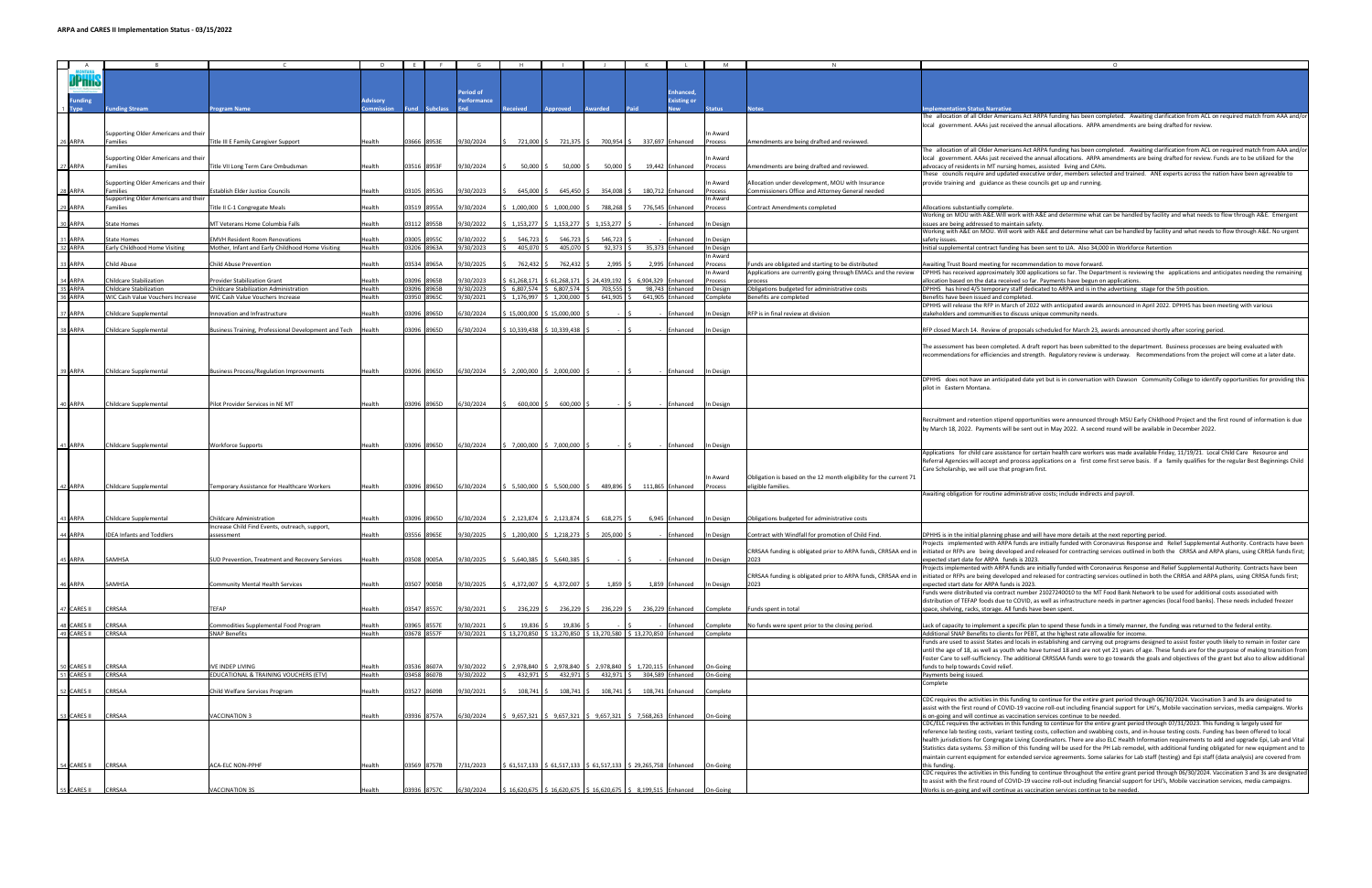|                    |                                      |                                                            |               |       |             |             |                                   |                               |                                                                          |                              |           |                                                                    | $\Omega$                                                                                                                                                                                                       |
|--------------------|--------------------------------------|------------------------------------------------------------|---------------|-------|-------------|-------------|-----------------------------------|-------------------------------|--------------------------------------------------------------------------|------------------------------|-----------|--------------------------------------------------------------------|----------------------------------------------------------------------------------------------------------------------------------------------------------------------------------------------------------------|
| $\Box$<br>A        |                                      |                                                            |               |       |             |             |                                   |                               |                                                                          |                              |           |                                                                    |                                                                                                                                                                                                                |
| <b>JPnno</b>       |                                      |                                                            |               |       |             |             |                                   |                               |                                                                          |                              |           |                                                                    |                                                                                                                                                                                                                |
|                    |                                      |                                                            |               |       |             |             |                                   |                               |                                                                          |                              |           |                                                                    |                                                                                                                                                                                                                |
|                    |                                      |                                                            |               |       |             | 'eriod of   |                                   |                               |                                                                          | Enhanced,                    |           |                                                                    |                                                                                                                                                                                                                |
| <b>Funding</b>     |                                      |                                                            | Advisory      |       |             | Performance |                                   |                               |                                                                          | <b>Existing or</b>           |           |                                                                    |                                                                                                                                                                                                                |
| <b>Type</b>        | unding Stream                        | rogram Name                                                |               |       |             |             |                                   | Approved                      | warded                                                                   | <b>New</b>                   | tatus     | lotes                                                              | <b>mplementation Status Narrative</b>                                                                                                                                                                          |
|                    |                                      |                                                            |               |       |             |             |                                   |                               |                                                                          |                              |           |                                                                    | The allocation of all Older Americans Act ARPA funding has been completed. Awaiting clarification from ACL on required match from AAA and/                                                                     |
|                    |                                      |                                                            |               |       |             |             |                                   |                               |                                                                          |                              |           |                                                                    | local government. AAAs just received the annual allocations. ARPA amendments are being drafted for review.                                                                                                     |
|                    | Supporting Older Americans and their |                                                            |               |       |             |             |                                   |                               |                                                                          |                              | ነ Award   |                                                                    |                                                                                                                                                                                                                |
| 26 ARPA            | Families                             | Title III E Family Caregiver Support                       | Health        |       | 03666 8953E | 9/30/2024   |                                   |                               | 721,000 \$ 721,375 \$ 700,954 \$ 337,697 Enhanced                        |                              | Process   | Amendments are being drafted and reviewed.                         |                                                                                                                                                                                                                |
|                    |                                      |                                                            |               |       |             |             |                                   |                               |                                                                          |                              |           |                                                                    |                                                                                                                                                                                                                |
|                    |                                      |                                                            |               |       |             |             |                                   |                               |                                                                          |                              |           |                                                                    | The allocation of all Older Americans Act ARPA funding has been completed. Awaiting clarification from ACL on required match from AAA and/                                                                     |
|                    | Supporting Older Americans and their |                                                            |               |       |             |             |                                   |                               |                                                                          |                              | In Award  |                                                                    | local government. AAAs just received the annual allocations. ARPA amendments are being drafted for review. Funds are to be utilized for the                                                                    |
| 7 ARPA             | Families                             | Title VII Long Term Care Ombudsman                         | <b>Health</b> |       | 03516 8953F | 9/30/2024   |                                   |                               | 50,000 \$ 50,000 \$ 50,000 \$ 19,442 Enhanced                            |                              | Process   | Amendments are being drafted and reviewed.                         | advocacy of residents in MT nursing homes, assisted living and CAHs.                                                                                                                                           |
|                    |                                      |                                                            |               |       |             |             |                                   |                               |                                                                          |                              |           |                                                                    | These councils require and updated executive order, members selected and trained. ANE experts across the nation have been agreeable to                                                                         |
|                    | Supporting Older Americans and their |                                                            |               |       |             |             |                                   |                               |                                                                          |                              | In Award  | Allocation under development, MOU with Insurance                   | provide training and guidance as these councils get up and running.                                                                                                                                            |
| 8 ARPA             | Families                             | <b>Establish Elder Justice Councils</b>                    | Health        |       | 03105 8953G | 9/30/2023   | 645,000 \$                        | 645,450 \$                    | 354,008                                                                  | 180.712 Enhanced             | Process   | ommissioners Office and Attorney General needed                    |                                                                                                                                                                                                                |
|                    | Supporting Older Americans and their |                                                            |               |       |             |             |                                   |                               |                                                                          |                              | n Award   |                                                                    |                                                                                                                                                                                                                |
| 9 ARPA             | Families                             | Fitle II C-1 Congregate Meals                              | <b>Health</b> |       | 03519 8955A | 9/30/2024   |                                   | $1,000,000$ \$ $1,000,000$ \$ |                                                                          | 788.268 \$ 776.545 Enhanced  | rocess    | Contract Amendments completed                                      | Allocations substantially complete                                                                                                                                                                             |
|                    |                                      |                                                            |               |       |             |             |                                   |                               |                                                                          |                              |           |                                                                    |                                                                                                                                                                                                                |
|                    |                                      |                                                            |               |       |             |             |                                   |                               |                                                                          |                              |           |                                                                    | Working on MOU with A&E.Will work with A&E and determine what can be handled by facility and what needs to flow through A&E. Emergent                                                                          |
| ARPA               | <b>State Homes</b>                   | MT Veterans Home Columbia Falls                            | <b>Health</b> |       | 03112 8955B | /30/2022    |                                   |                               | $5, 1,153,277$ $\mid$ \$ 1,153,277 $\mid$ \$ 1,153,277                   | Enhanced                     | n Design  |                                                                    | ssues are being addressed to maintain safety.                                                                                                                                                                  |
|                    |                                      |                                                            |               |       |             |             |                                   |                               |                                                                          |                              |           |                                                                    | Working with A&E on MOU. Will work with A&E and determine what can be handled by facility and what needs to flow through A&E. No urgent                                                                        |
| <b>ARPA</b>        | State Homes                          | <b>IMVH Resident Room Renovations</b>                      | lealth        | 03005 |             | /30/2022    | 546,723                           | 546,723                       | 546,723                                                                  | Enhanced                     | n Design  |                                                                    | afety issues                                                                                                                                                                                                   |
| 32 ARPA            | Early Childhood Home Visiting        | Mother, Infant and Early Childhood Home Visiting           | Health        |       | 03206 8963A | 9/30/2023   | 405,070                           | 405,070                       | $92,373$ \$                                                              | 35,373 Enhanced              | In Design |                                                                    | Initial supplemental contract funding has been sent to LIA. Also 34,000 in Workforce Retention                                                                                                                 |
|                    |                                      |                                                            |               |       |             |             |                                   |                               |                                                                          |                              | h Award   |                                                                    |                                                                                                                                                                                                                |
| ARPA               | <b>Child Abuse</b>                   | Child Abuse Prevention                                     | Health        |       | 03534 8965A | /30/2025    | 762,432                           | 762,432                       | 2,995                                                                    | 2,995 Enhanced               | rocess    | unds are obligated and starting to be distributed                  | Awaiting Trust Board meeting for recommendation to move forward.                                                                                                                                               |
|                    |                                      |                                                            |               |       |             |             |                                   |                               |                                                                          |                              | ነ Award   | Applications are currently going through EMACs and the review      | DPHHS has received approximately 300 applications so far. The Department is reviewing the applications and anticipates needing the remaining                                                                   |
| 34 ARPA            | Childcare Stabilization              | Provider Stabilization Grant                               | Health        |       | 03096 8965B | 9/30/2023   | 61,268,171                        | 561,268,171                   | \$24,439,192                                                             | 6.904,329 Enhanced           | rocess    | orocess                                                            | illocation based on the data received so far. Payments have begun on applications.                                                                                                                             |
| 35 ARPA            | Childcare Stabilization              | Childcare Stabilization Administration                     | Health        |       | 03096 8965B | 9/30/2023   | \$ 6,807,574                      | 6,807,574                     | 703,555                                                                  | 98,743 Enhanced              | In Design | Obligations budgeted for administrative costs                      | DPHHS has hired 4/5 temporary staff dedicated to ARPA and is in the advertising stage for the 5th position                                                                                                     |
|                    |                                      |                                                            | Health        |       |             |             |                                   |                               |                                                                          |                              |           |                                                                    |                                                                                                                                                                                                                |
| 36 ARPA            | WIC Cash Value Vouchers Increase     | WIC Cash Value Vouchers Increase                           |               |       | 03950 8965C | 9/30/2021   | \$1,176,997                       | $$1,200,000$ \$               | 641,905                                                                  | 641,905 Enhanced             | Complete  | Benefits are completed                                             | Benefits have been issued and completed.                                                                                                                                                                       |
|                    |                                      |                                                            |               |       |             |             |                                   |                               |                                                                          |                              |           |                                                                    | DPHHS will release the RFP in March of 2022 with anticipated awards announced in April 2022. DPHHS has been meeting with various                                                                               |
| ARPA               | Childcare Supplementa                | nnovation and Infrastructure                               | lealth        | 03096 | 8965D       | /30/2024    | \$15,000,000                      | \$15,000,000                  |                                                                          | <b>Inhanced</b>              | Design    | RFP is in final review at division                                 | takeholders and communities to discuss unique community needs.                                                                                                                                                 |
|                    |                                      |                                                            |               |       |             |             |                                   |                               |                                                                          |                              |           |                                                                    |                                                                                                                                                                                                                |
| <b>ARPA</b>        | Childcare Supplemental               | usiness Training, Professional Development and Tech Health |               |       | 03096 8965D | 5/30/2024   | 10,339,438                        | \$10,339,438                  |                                                                          | Enhanced                     | In Design |                                                                    | RFP closed March 14. Review of proposals scheduled for March 23, awards announced shortly after scoring period.                                                                                                |
|                    |                                      |                                                            |               |       |             |             |                                   |                               |                                                                          |                              |           |                                                                    |                                                                                                                                                                                                                |
|                    |                                      |                                                            |               |       |             |             |                                   |                               |                                                                          |                              |           |                                                                    | The assessment has been completed. A draft report has been submitted to the department. Business processes are being evaluated with                                                                            |
|                    |                                      |                                                            |               |       |             |             |                                   |                               |                                                                          |                              |           |                                                                    | recommendations for efficiencies and strength. Regulatory review is underway. Recommendations from the project will come at a later date.                                                                      |
|                    |                                      |                                                            |               |       |             |             |                                   |                               |                                                                          |                              |           |                                                                    |                                                                                                                                                                                                                |
|                    |                                      |                                                            |               |       |             |             |                                   |                               |                                                                          |                              |           |                                                                    |                                                                                                                                                                                                                |
| 9 ARPA             | Childcare Supplemental               | Business Process/Regulation Improvements                   | Health        |       | 03096 8965D | 6/30/2024   |                                   | \$2,000,000 \$2,000,000       |                                                                          | Enhanced                     | In Design |                                                                    |                                                                                                                                                                                                                |
|                    |                                      |                                                            |               |       |             |             |                                   |                               |                                                                          |                              |           |                                                                    | DPHHS does not have an anticipated date yet but is in conversation with Dawson Community College to identify opportunities for providing thi                                                                   |
|                    |                                      |                                                            |               |       |             |             |                                   |                               |                                                                          |                              |           |                                                                    | pilot in Eastern Montana                                                                                                                                                                                       |
|                    |                                      |                                                            |               |       |             |             |                                   |                               |                                                                          |                              |           |                                                                    |                                                                                                                                                                                                                |
| 10 ARPA            | Childcare Supplemental               | Pilot Provider Services in NE MT                           | Health        |       | 03096 8965D | 6/30/2024   | 600,000                           | 600,000                       |                                                                          | Enhanced                     | In Design |                                                                    |                                                                                                                                                                                                                |
|                    |                                      |                                                            |               |       |             |             |                                   |                               |                                                                          |                              |           |                                                                    |                                                                                                                                                                                                                |
|                    |                                      |                                                            |               |       |             |             |                                   |                               |                                                                          |                              |           |                                                                    | Recruitment and retention stipend opportunities were announced through MSU Early Childhood Project and the first round of information is due                                                                   |
|                    |                                      |                                                            |               |       |             |             |                                   |                               |                                                                          |                              |           |                                                                    |                                                                                                                                                                                                                |
|                    |                                      |                                                            |               |       |             |             |                                   |                               |                                                                          |                              |           |                                                                    | by March 18, 2022. Payments will be sent out in May 2022. A second round will be available in December 2022.                                                                                                   |
|                    |                                      |                                                            |               |       |             |             |                                   |                               |                                                                          |                              |           |                                                                    |                                                                                                                                                                                                                |
| 11 ARPA            | Childcare Supplemental               | <b>Norkforce Supports</b>                                  | lealth        |       | 03096 8965D | 6/30/2024   |                                   | \$7,000,000 \$7,000,000       |                                                                          | Enhanced                     | n Design  |                                                                    |                                                                                                                                                                                                                |
|                    |                                      |                                                            |               |       |             |             |                                   |                               |                                                                          |                              |           |                                                                    | Applications for child care assistance for certain health care workers was made available Friday, 11/19/21. Local Child Care Resource and                                                                      |
|                    |                                      |                                                            |               |       |             |             |                                   |                               |                                                                          |                              |           |                                                                    | Referral Agencies will accept and process applications on a first come first serve basis. If a family qualifies for the regular Best Beginnings Child                                                          |
|                    |                                      |                                                            |               |       |             |             |                                   |                               |                                                                          |                              |           |                                                                    | Care Scholarship, we will use that program first.                                                                                                                                                              |
|                    |                                      |                                                            |               |       |             |             |                                   |                               |                                                                          |                              | In Award  | Obligation is based on the 12 month eligibility for the current 71 |                                                                                                                                                                                                                |
| 42 ARPA            | Childcare Supplemental               | <b>Temporary Assistance for Healthcare Workers</b>         | Health        |       | 03096 8965D | 6/30/2024   |                                   |                               | \$ 5,500,000 \$ 5,500,000 \$ 489,896 \$ 111,865 Enhanced                 |                              | rocess    | eligible families.                                                 |                                                                                                                                                                                                                |
|                    |                                      |                                                            |               |       |             |             |                                   |                               |                                                                          |                              |           |                                                                    |                                                                                                                                                                                                                |
|                    |                                      |                                                            |               |       |             |             |                                   |                               |                                                                          |                              |           |                                                                    | Awaiting obligation for routine administrative costs; include indirects and payroll                                                                                                                            |
|                    |                                      |                                                            |               |       |             |             |                                   |                               |                                                                          |                              |           |                                                                    |                                                                                                                                                                                                                |
|                    |                                      |                                                            |               |       |             |             |                                   |                               |                                                                          |                              |           |                                                                    |                                                                                                                                                                                                                |
| 3 ARPA             | Childcare Supplemental               | Childcare Administration                                   | <b>Health</b> |       | 03096 8965D | 5/30/2024   |                                   |                               | $$2,123,874$ $$2,123,874$ $$618,275$ $$$                                 | 6,945 Enhanced In Design     |           | Obligations budgeted for administrative costs                      |                                                                                                                                                                                                                |
|                    |                                      | Increase Child Find Events, outreach, support,             |               |       |             |             |                                   |                               |                                                                          |                              |           |                                                                    |                                                                                                                                                                                                                |
| 4 ARPA             | <b>IDEA Infants and Toddlers</b>     | ssessment                                                  | Health        |       | 03556 8965E | 9/30/2025   | \$1,200,000                       | \$1,218,273                   | 205,000                                                                  | Enhanced                     | In Design | Contract with Windfall for promotion of Child Find.                | DPHHS is in the initial planning phase and will have more details at the next reporting period.                                                                                                                |
|                    |                                      |                                                            |               |       |             |             |                                   |                               |                                                                          |                              |           |                                                                    | Projects implemented with ARPA funds are initially funded with Coronavirus Response and Relief Supplemental Authority. Contracts have been                                                                     |
|                    |                                      |                                                            |               |       |             |             |                                   |                               |                                                                          |                              |           |                                                                    | CRRSAA funding is obligated prior to ARPA funds, CRRSAA end in  initiated or RFPs are being developed and released for contracting services outlined in both the CRRSA and ARPA plans, using CRRSA funds first |
|                    |                                      |                                                            |               |       |             |             |                                   |                               |                                                                          |                              |           |                                                                    |                                                                                                                                                                                                                |
| ARPA               | <b>SAMHSA</b>                        | <b>SUD Prevention, Treatment and Recovery Services</b>     | Health        |       | 03508 9005A | 9/30/2025   | $5, 5,640,385$ $5, 5,640,385$ $5$ |                               |                                                                          | Enhanced                     | In Design | 2023                                                               | expected start date for ARPA funds is 2023.                                                                                                                                                                    |
|                    |                                      |                                                            |               |       |             |             |                                   |                               |                                                                          |                              |           |                                                                    | rojects implemented with ARPA funds are initially funded with Coronavirus Response and Relief Supplemental Authority. Contracts have beer                                                                      |
|                    |                                      |                                                            |               |       |             |             |                                   |                               |                                                                          |                              |           |                                                                    | CRRSAA funding is obligated prior to ARPA funds, CRRSAA end in initiated or RFPs are being developed and released for contracting services outlined in both the CRRSA and ARPA plans, using CRRSA funds first; |
| <b>JARPA</b>       | SAMHSA                               | ommunity Mental Health Services                            | Health        |       | 03507 9005B | 9/30/2025   |                                   |                               | \$4,372,007 \$4,372,007 \$1,859 \$                                       | 1,859 Enhanced In Design     |           | 2023                                                               | expected start date for ARPA funds is 2023.                                                                                                                                                                    |
|                    |                                      |                                                            |               |       |             |             |                                   |                               |                                                                          |                              |           |                                                                    | Funds were distributed via contract number 21027240010 to the MT Food Bank Network to be used for additional costs associated with                                                                             |
|                    |                                      |                                                            |               |       |             |             |                                   |                               |                                                                          |                              |           |                                                                    | distribution of TEFAP foods due to COVID, as well as infrastructure needs in partner agencies (local food banks). These needs included freezer                                                                 |
| CARES II           | CRRSAA                               | TEFAP                                                      | lealth        |       | 03547 8557C | 9/30/2021   | 236,229                           | 236,229                       |                                                                          | 236,229 \$236,229 Enhanced   | Complete  | Funds spent in total                                               | pace, shelving, racks, storage. All funds have been spent.                                                                                                                                                     |
|                    |                                      |                                                            |               |       |             |             |                                   |                               |                                                                          |                              |           |                                                                    |                                                                                                                                                                                                                |
| <b>CARES II</b>    | CRRSAA                               |                                                            |               |       | 03965 8557E | /30/2021    | 19,836                            | 19,836                        |                                                                          | <b>Inhanced</b>              |           |                                                                    | Lack of capacity to implement a specific plan to spend these funds in a timely manner, the funding was returned to the federal entity.                                                                         |
|                    |                                      | Commodities Supplemental Food Program                      | Health        |       |             |             |                                   |                               |                                                                          |                              | omplete   | No funds were spent prior to the closing period.                   |                                                                                                                                                                                                                |
| 49 CARES II        | CRRSAA                               | <b>SNAP Benefits</b>                                       | Health        |       | 03678 8557F | 9/30/2021   | \$13,270,850                      |                               | \$ 13,270,850 \$ 13,270,580 \$ 13,270,850 Enhanced Complete              |                              |           |                                                                    | Additional SNAP Benefits to clients for PEBT, at the highest rate allowable for income.                                                                                                                        |
|                    |                                      |                                                            |               |       |             |             |                                   |                               |                                                                          |                              |           |                                                                    | Funds are used to assist States and locals in establishing and carrying out programs designed to assist foster youth likely to remain in foster care                                                           |
|                    |                                      |                                                            |               |       |             |             |                                   |                               |                                                                          |                              |           |                                                                    | until the age of 18, as well as youth who have turned 18 and are not yet 21 years of age. These funds are for the purpose of making transition fro                                                             |
|                    |                                      |                                                            |               |       |             |             |                                   |                               |                                                                          |                              |           |                                                                    | Foster Care to self-sufficiency. The additional CRRSSAA funds were to go towards the goals and objectives of the grant but also to allow additiona                                                             |
| CARES II           | CRRSAA                               | <b>VE INDEP LIVING</b>                                     | lealth        | 03536 | 8607A       | 9/30/2022   | \$2.978.840                       | \$2.978.840                   | \$2.978.840                                                              | \$ 1.720.115 Enhanced        | On-Going  |                                                                    | funds to help towards Covid relief.                                                                                                                                                                            |
| 51 CARES II        | CRRSAA                               | EDUCATIONAL & TRAINING VOUCHERS (ETV)                      | Health        |       | 03458 8607B | 9/30/2022   | 432,971                           | \$432,971                     | 432,971                                                                  | \$ 304,589 Enhanced On-Going |           |                                                                    | Payments being issued.                                                                                                                                                                                         |
|                    |                                      |                                                            |               |       |             |             |                                   |                               |                                                                          |                              |           |                                                                    |                                                                                                                                                                                                                |
|                    |                                      |                                                            |               |       |             |             |                                   |                               |                                                                          |                              |           |                                                                    | Complete                                                                                                                                                                                                       |
| CARES II           | CRRSAA                               | Child Welfare Services Program                             | <b>Health</b> |       | 03527 8609B | /30/2021    | 108,741 \$                        | 108,741 \$                    | 108,741 \$                                                               | 108,741 Enhanced             | omplete   |                                                                    |                                                                                                                                                                                                                |
|                    |                                      |                                                            |               |       |             |             |                                   |                               |                                                                          |                              |           |                                                                    | CDC requires the activities in this funding to continue for the entire grant period through 06/30/2024. Vaccination 3 and 3s are designated to                                                                 |
|                    |                                      |                                                            |               |       |             |             |                                   |                               |                                                                          |                              |           |                                                                    | assist with the first round of COVID-19 vaccine roll-out including financial support for LHJ's, Mobile vaccination services, media campaigns. Works                                                            |
| <b>CARES II</b>    | CRRSAA                               | <b>VACCINATION 3</b>                                       | <b>Health</b> |       | 03936 8757A | 6/30/2024   |                                   |                               | 9,657,321 \$ 9,657,321 \$ 9,657,321 \$ 7,568,263 Enhanced                |                              | On-Going  |                                                                    | is on-going and will continue as vaccination services continue to be needed.                                                                                                                                   |
|                    |                                      |                                                            |               |       |             |             |                                   |                               |                                                                          |                              |           |                                                                    | CDC/ELC requires the activities in this funding to continue for the entire grant period through 07/31/2023. This funding is largely used for                                                                   |
|                    |                                      |                                                            |               |       |             |             |                                   |                               |                                                                          |                              |           |                                                                    | reference lab testing costs, variant testing costs, collection and swabbing costs, and in-house testing costs. Funding has been offered to local                                                               |
|                    |                                      |                                                            |               |       |             |             |                                   |                               |                                                                          |                              |           |                                                                    |                                                                                                                                                                                                                |
|                    |                                      |                                                            |               |       |             |             |                                   |                               |                                                                          |                              |           |                                                                    | health jurisdictions for Congregate Living Coordinators. There are also ELC Health Information requirements to add and upgrade Epi, Lab and Vita                                                               |
|                    |                                      |                                                            |               |       |             |             |                                   |                               |                                                                          |                              |           |                                                                    | Statistics data systems. \$3 million of this funding will be used for the PH Lab remodel, with additional funding obligated for new equipment and to                                                           |
|                    |                                      |                                                            |               |       |             |             |                                   |                               |                                                                          |                              |           |                                                                    | maintain current equipment for extended service agreements. Some salaries for Lab staff (testing) and Epi staff (data analysis) are covered from                                                               |
| 4 CARES II CRRSAA  |                                      | <b>ACA-ELC NON-PPHF</b>                                    | <b>Health</b> |       | 03569 8757B | 7/31/2023   |                                   |                               | \$ 61,517,133 \$ 61,517,133 \$ 61,517,133 \$ 29,265,758 Enhanced         |                              | On-Going  |                                                                    | his funding.                                                                                                                                                                                                   |
|                    |                                      |                                                            |               |       |             |             |                                   |                               |                                                                          |                              |           |                                                                    | CDC requires the activities in this funding to continue throughout the entire grant period through 06/30/2024. Vaccination 3 and 3s are designate                                                              |
|                    |                                      |                                                            |               |       |             |             |                                   |                               |                                                                          |                              |           |                                                                    | to assist with the first round of COVID-19 vaccine roll-out including financial support for LHJ's, Mobile vaccination services, media campaigns.                                                               |
| 55 CARES II CRRSAA |                                      | <b>VACCINATION 3S</b>                                      | Health        |       | 03936 8757C | 6/30/2024   |                                   |                               | $$16,620,675$ $$16,620,675$ $$16,620,675$ $$8,199,515$ Enhanced On-Going |                              |           |                                                                    | Works is on-going and will continue as vaccination services continue to be needed.                                                                                                                             |
|                    |                                      |                                                            |               |       |             |             |                                   |                               |                                                                          |                              |           |                                                                    |                                                                                                                                                                                                                |